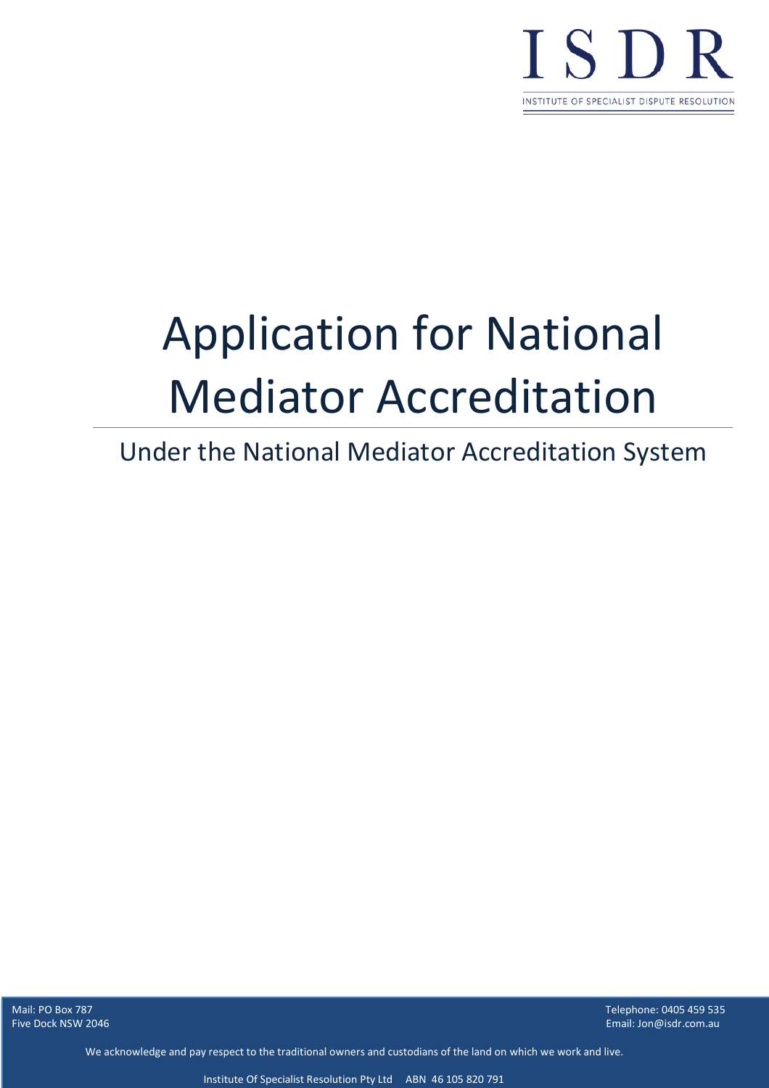

# Application for National Mediator Accreditation

# Under the National Mediator Accreditation System

Five Dock NSW 2046

Mail: PO Box 787 Telephone: 0405 459 535 Email: Jon@isdr.com.au

We acknowledge and pay respect to the traditional owners and custodians of the land on which we work and live.

Institute Of Specialist Resolution Pty Ltd ABN 46 105 820 791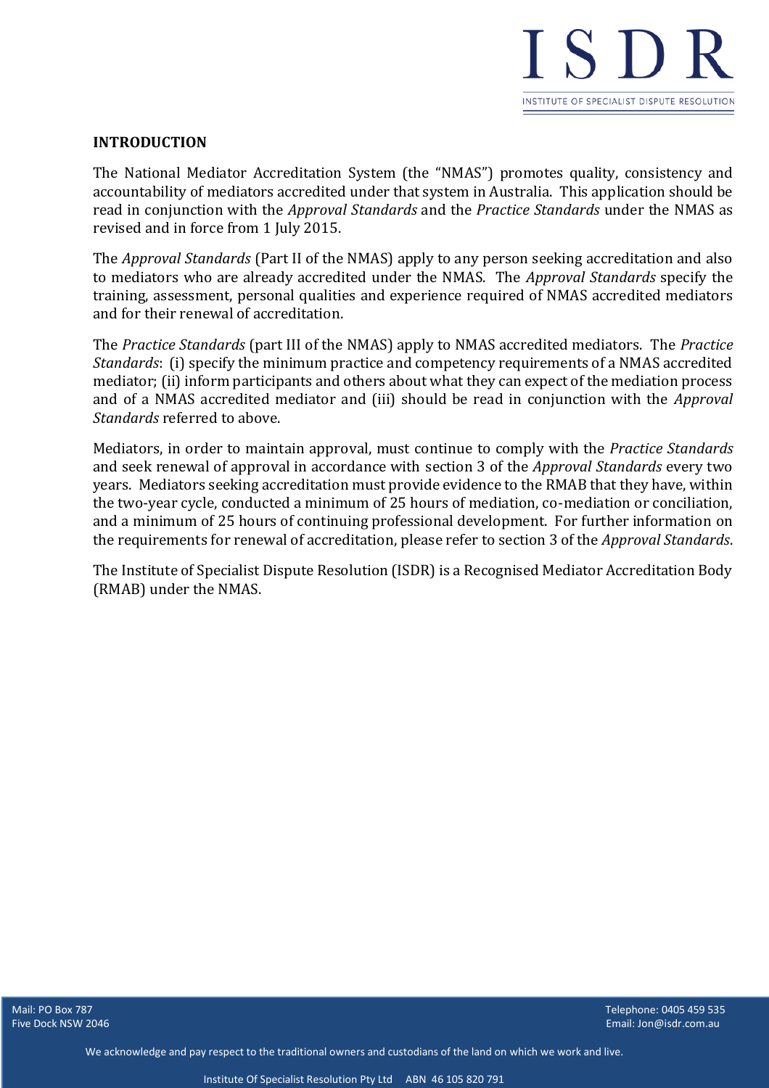

# **INTRODUCTION**

The National Mediator Accreditation System (the "NMAS") promotes quality, consistency and accountability of mediators accredited under that system in Australia. This application should be read in conjunction with the *Approval Standards* and the *Practice Standards* under the NMAS as revised and in force from 1 July 2015.

The *Approval Standards* (Part II of the NMAS) apply to any person seeking accreditation and also to mediators who are already accredited under the NMAS. The *Approval Standards* specify the training, assessment, personal qualities and experience required of NMAS accredited mediators and for their renewal of accreditation.

The *Practice Standards* (part III of the NMAS) apply to NMAS accredited mediators. The *Practice Standards*: (i) specify the minimum practice and competency requirements of a NMAS accredited mediator; (ii) inform participants and others about what they can expect of the mediation process and of a NMAS accredited mediator and (iii) should be read in conjunction with the *Approval Standards* referred to above.

Mediators, in order to maintain approval, must continue to comply with the *Practice Standards* and seek renewal of approval in accordance with section 3 of the *Approval Standards* every two years. Mediators seeking accreditation must provide evidence to the RMAB that they have, within the two-year cycle, conducted a minimum of 25 hours of mediation, co-mediation or conciliation, and a minimum of 25 hours of continuing professional development. For further information on the requirements for renewal of accreditation, please refer to section 3 of the *Approval Standards*.

The Institute of Specialist Dispute Resolution (ISDR) is a Recognised Mediator Accreditation Body (RMAB) under the NMAS.

**Five Dock NSW 2046** 

Mail: PO Box 787 Telephone: 0405 459 535 Email: Jon@isdr.com.au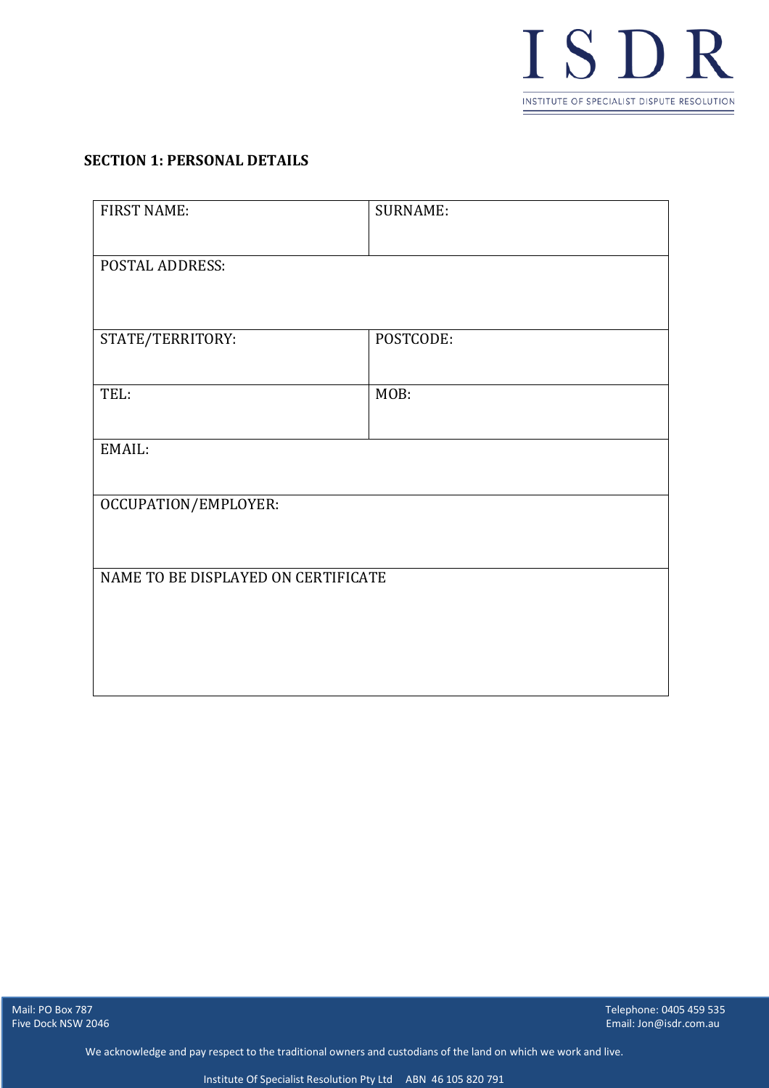

#### **SECTION 1: PERSONAL DETAILS**

| <b>FIRST NAME:</b>                  | <b>SURNAME:</b> |
|-------------------------------------|-----------------|
|                                     |                 |
| <b>POSTAL ADDRESS:</b>              |                 |
|                                     |                 |
|                                     |                 |
| STATE/TERRITORY:                    | POSTCODE:       |
|                                     |                 |
| TEL:                                | MOB:            |
|                                     |                 |
| EMAIL:                              |                 |
|                                     |                 |
| OCCUPATION/EMPLOYER:                |                 |
|                                     |                 |
|                                     |                 |
| NAME TO BE DISPLAYED ON CERTIFICATE |                 |
|                                     |                 |
|                                     |                 |
|                                     |                 |
|                                     |                 |
|                                     |                 |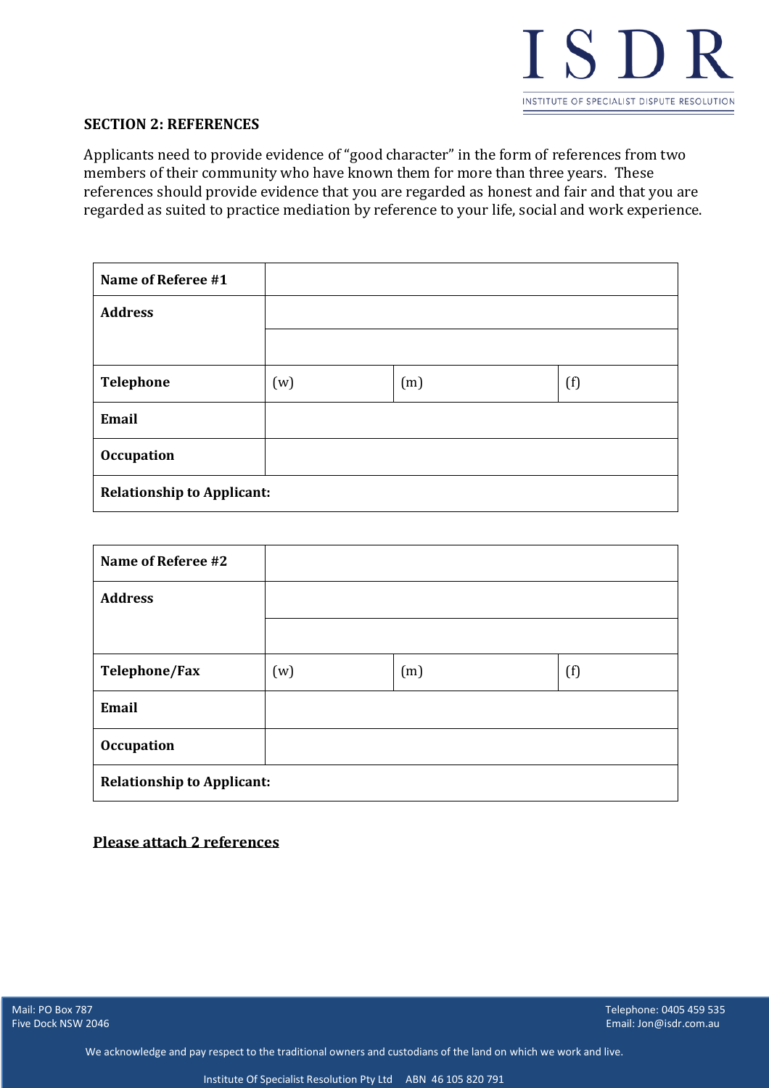

#### **SECTION 2: REFERENCES**

Applicants need to provide evidence of "good character" in the form of references from two members of their community who have known them for more than three years. These references should provide evidence that you are regarded as honest and fair and that you are regarded as suited to practice mediation by reference to your life, social and work experience.

| Name of Referee #1                |     |     |     |
|-----------------------------------|-----|-----|-----|
| <b>Address</b>                    |     |     |     |
|                                   |     |     |     |
| Telephone                         | (w) | (m) | (f) |
| Email                             |     |     |     |
| <b>Occupation</b>                 |     |     |     |
| <b>Relationship to Applicant:</b> |     |     |     |

| Name of Referee #2                |     |     |     |
|-----------------------------------|-----|-----|-----|
| <b>Address</b>                    |     |     |     |
|                                   |     |     |     |
| Telephone/Fax                     | (w) | (m) | (f) |
| Email                             |     |     |     |
| <b>Occupation</b>                 |     |     |     |
| <b>Relationship to Applicant:</b> |     |     |     |

#### **Please attach 2 references**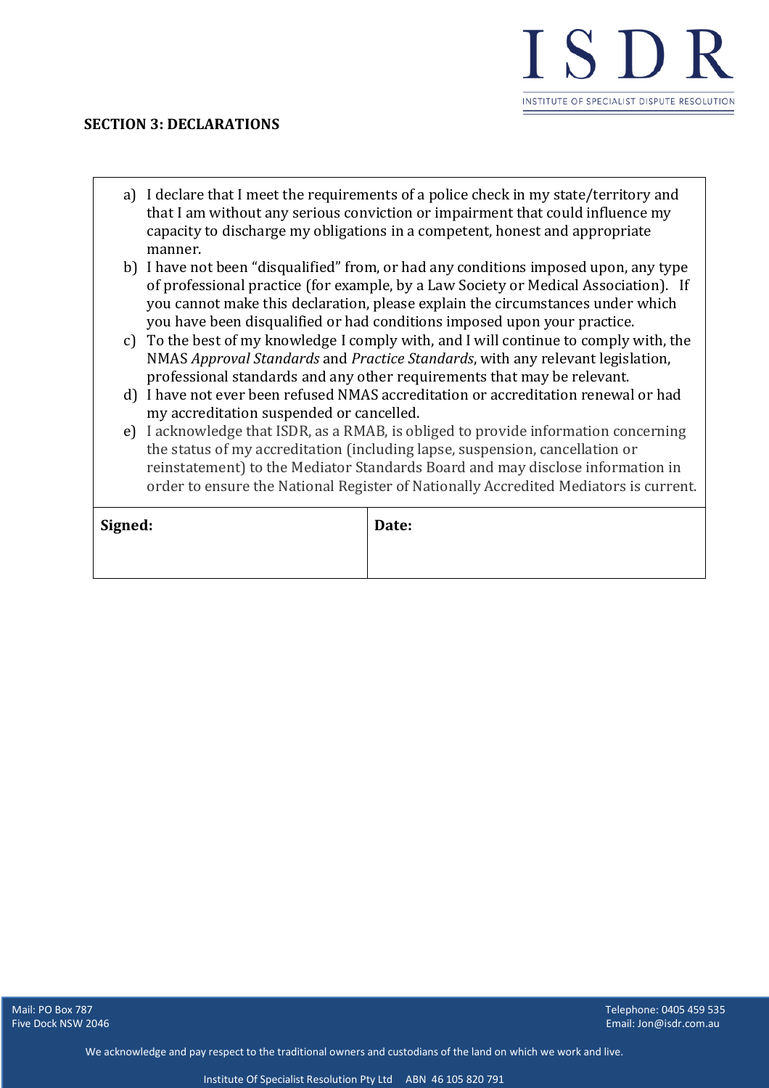

#### **SECTION 3: DECLARATIONS**

- a) I declare that I meet the requirements of a police check in my state/territory and that I am without any serious conviction or impairment that could influence my capacity to discharge my obligations in a competent, honest and appropriate manner.
- b) I have not been "disqualified" from, or had any conditions imposed upon, any type of professional practice (for example, by a Law Society or Medical Association). If you cannot make this declaration, please explain the circumstances under which you have been disqualified or had conditions imposed upon your practice.
- c) To the best of my knowledge I comply with, and I will continue to comply with, the NMAS *Approval Standards* and *Practice Standards*, with any relevant legislation, professional standards and any other requirements that may be relevant.
- d) I have not ever been refused NMAS accreditation or accreditation renewal or had my accreditation suspended or cancelled.
- e) I acknowledge that ISDR, as a RMAB, is obliged to provide information concerning the status of my accreditation (including lapse, suspension, cancellation or reinstatement) to the Mediator Standards Board and may disclose information in order to ensure the National Register of Nationally Accredited Mediators is current.

| Signed: | Date: |
|---------|-------|
|         |       |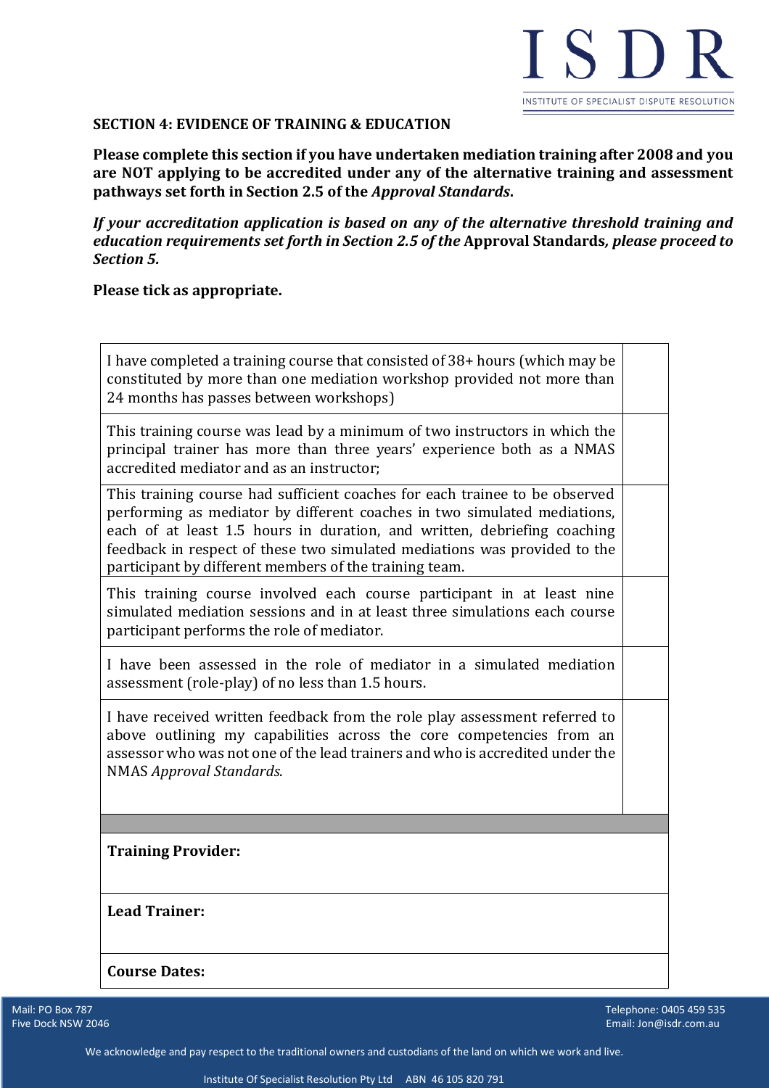

# **SECTION 4: EVIDENCE OF TRAINING & EDUCATION**

**Please complete this section if you have undertaken mediation training after 2008 and you are NOT applying to be accredited under any of the alternative training and assessment pathways set forth in Section 2.5 of the** *Approval Standards***.**

*If your accreditation application is based on any of the alternative threshold training and education requirements set forth in Section 2.5 of the* **Approval Standards***, please proceed to Section 5.*

#### **Please tick as appropriate.**

| I have completed a training course that consisted of 38+ hours (which may be<br>constituted by more than one mediation workshop provided not more than<br>24 months has passes between workshops)                                                                                                                                                                          |  |
|----------------------------------------------------------------------------------------------------------------------------------------------------------------------------------------------------------------------------------------------------------------------------------------------------------------------------------------------------------------------------|--|
| This training course was lead by a minimum of two instructors in which the<br>principal trainer has more than three years' experience both as a NMAS<br>accredited mediator and as an instructor;                                                                                                                                                                          |  |
| This training course had sufficient coaches for each trainee to be observed<br>performing as mediator by different coaches in two simulated mediations,<br>each of at least 1.5 hours in duration, and written, debriefing coaching<br>feedback in respect of these two simulated mediations was provided to the<br>participant by different members of the training team. |  |
| This training course involved each course participant in at least nine<br>simulated mediation sessions and in at least three simulations each course<br>participant performs the role of mediator.                                                                                                                                                                         |  |
| I have been assessed in the role of mediator in a simulated mediation<br>assessment (role-play) of no less than 1.5 hours.                                                                                                                                                                                                                                                 |  |
| I have received written feedback from the role play assessment referred to<br>above outlining my capabilities across the core competencies from an<br>assessor who was not one of the lead trainers and who is accredited under the<br><b>NMAS Approval Standards.</b>                                                                                                     |  |
| <b>Training Provider:</b>                                                                                                                                                                                                                                                                                                                                                  |  |
|                                                                                                                                                                                                                                                                                                                                                                            |  |
| <b>Lead Trainer:</b>                                                                                                                                                                                                                                                                                                                                                       |  |
| <b>Course Dates:</b>                                                                                                                                                                                                                                                                                                                                                       |  |

Five Dock NSW 2046

المستقل بين المستقل المستقل المستقل المستقل بين المستقل المستقل المستقل المستقل المستقل المستقل المستقل المستق<br>المستقل 1925 1939 - المستقل المستقل المستقل المستقل المستقل المستقل المستقل المستقل المستقل المستقل المستقل ال Email: Jon@isdr.com.au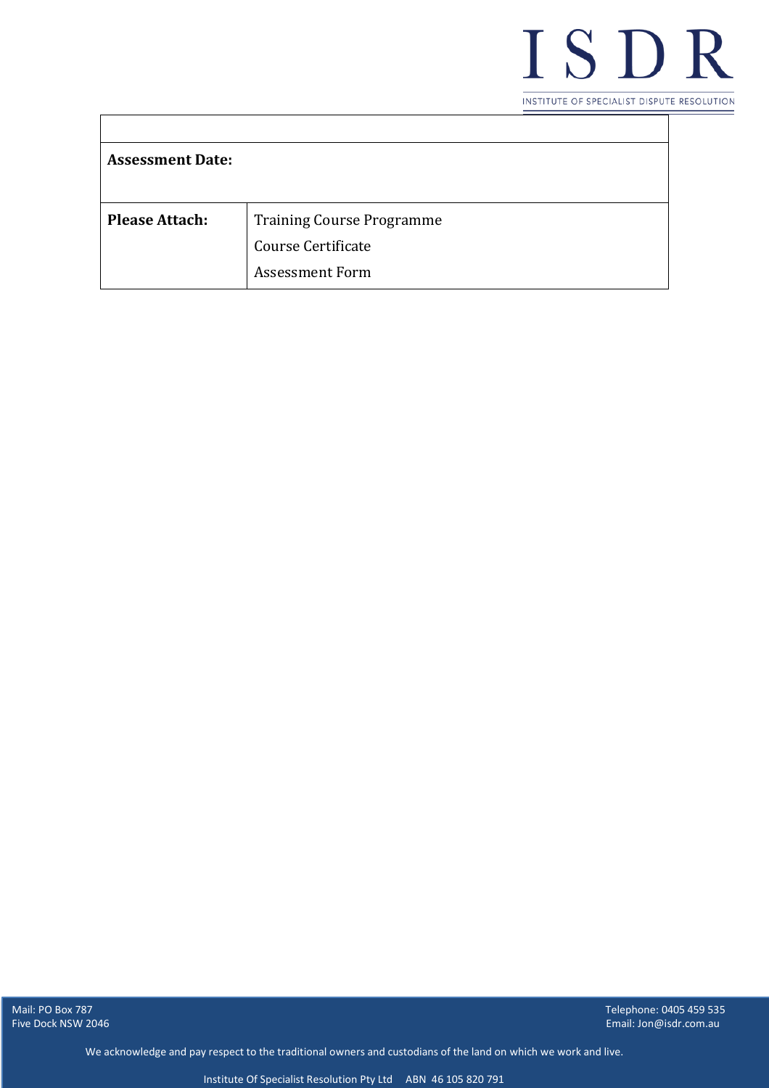

| <b>Assessment Date:</b> |                                  |
|-------------------------|----------------------------------|
|                         |                                  |
|                         |                                  |
| <b>Please Attach:</b>   | <b>Training Course Programme</b> |
|                         | Course Certificate               |
|                         | <b>Assessment Form</b>           |

 $\Gamma$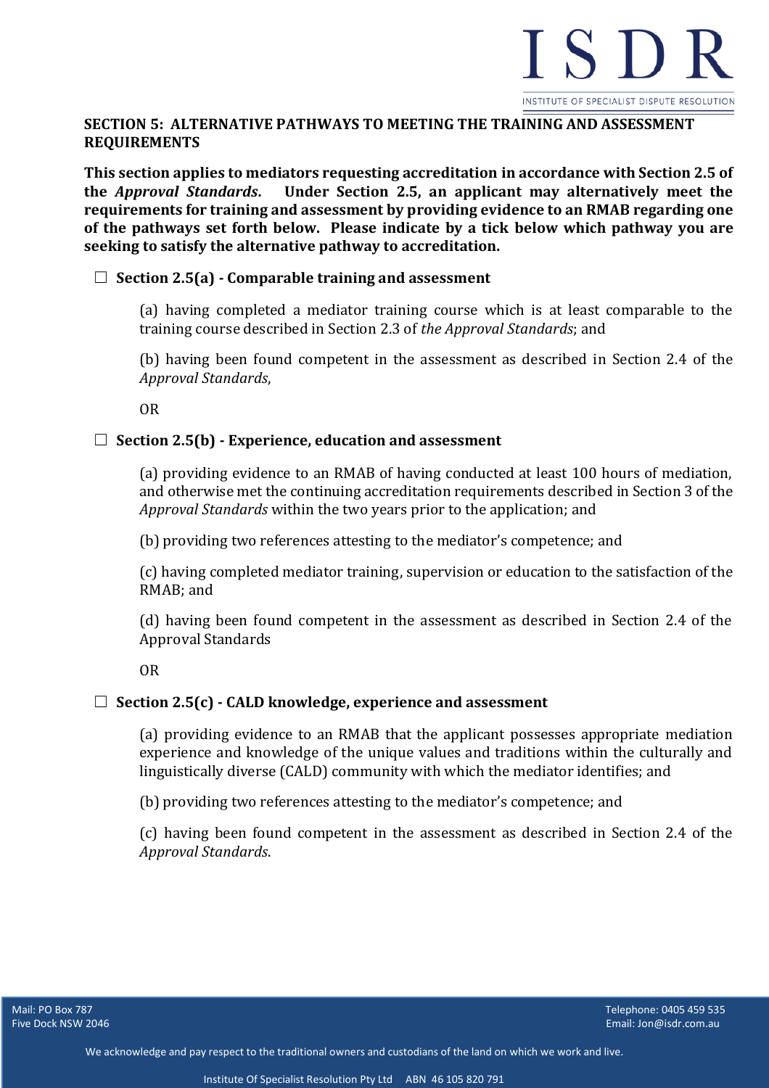

# **SECTION 5: ALTERNATIVE PATHWAYS TO MEETING THE TRAINING AND ASSESSMENT REQUIREMENTS**

**This section applies to mediators requesting accreditation in accordance with Section 2.5 of the** *Approval Standards***. Under Section 2.5, an applicant may alternatively meet the requirements for training and assessment by providing evidence to an RMAB regarding one of the pathways set forth below. Please indicate by a tick below which pathway you are seeking to satisfy the alternative pathway to accreditation.**

#### ☐ **Section 2.5(a) - Comparable training and assessment**

(a) having completed a mediator training course which is at least comparable to the training course described in Section 2.3 of *the Approval Standards*; and

(b) having been found competent in the assessment as described in Section 2.4 of the *Approval Standards*,

OR

#### ☐ **Section 2.5(b) - Experience, education and assessment**

(a) providing evidence to an RMAB of having conducted at least 100 hours of mediation, and otherwise met the continuing accreditation requirements described in Section 3 of the *Approval Standards* within the two years prior to the application; and

(b) providing two references attesting to the mediator's competence; and

(c) having completed mediator training, supervision or education to the satisfaction of the RMAB; and

(d) having been found competent in the assessment as described in Section 2.4 of the Approval Standards

OR

#### ☐ **Section 2.5(c) - CALD knowledge, experience and assessment**

(a) providing evidence to an RMAB that the applicant possesses appropriate mediation experience and knowledge of the unique values and traditions within the culturally and linguistically diverse (CALD) community with which the mediator identifies; and

(b) providing two references attesting to the mediator's competence; and

(c) having been found competent in the assessment as described in Section 2.4 of the *Approval Standards*.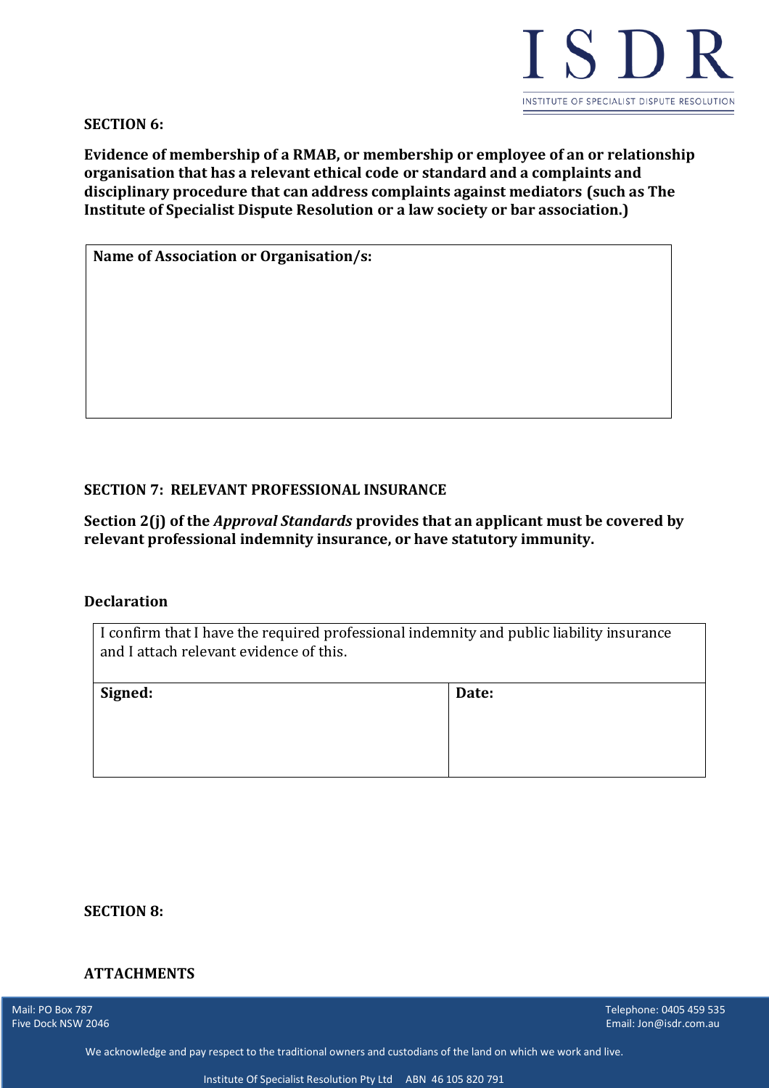

**SECTION 6:**

**Evidence of membership of a RMAB, or membership or employee of an or relationship organisation that has a relevant ethical code or standard and a complaints and disciplinary procedure that can address complaints against mediators (such as The Institute of Specialist Dispute Resolution or a law society or bar association.)**

**Name of Association or Organisation/s:**

#### **SECTION 7: RELEVANT PROFESSIONAL INSURANCE**

**Section 2(j) of the** *Approval Standards* **provides that an applicant must be covered by relevant professional indemnity insurance, or have statutory immunity.** 

#### **Declaration**

| I confirm that I have the required professional indemnity and public liability insurance<br>and I attach relevant evidence of this. |       |
|-------------------------------------------------------------------------------------------------------------------------------------|-------|
| Signed:                                                                                                                             | Date: |
|                                                                                                                                     |       |

#### **SECTION 8:**

# **ATTACHMENTS**

Five Dock NSW 2046

المستقل بين المستقل المستقل المستقل المستقل المستقل المستقل المستقل المستقل المستقل المستقل المستقل المستقل المستقل المستقل المستقل المستقل المستقل المستقل المستقل المستقل المستقل المستقل المستقل المستقل المستقل المستقل ا Email: Jon@isdr.com.au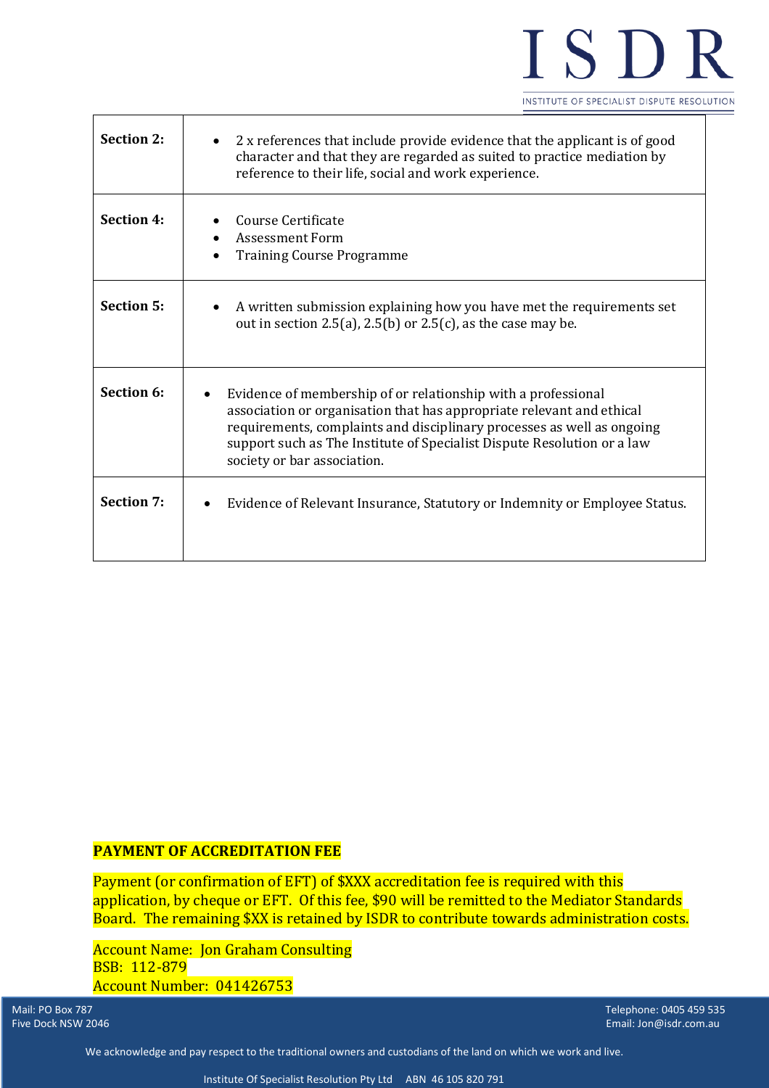

| <b>Section 2:</b> | 2 x references that include provide evidence that the applicant is of good<br>character and that they are regarded as suited to practice mediation by<br>reference to their life, social and work experience.                                                                                                              |
|-------------------|----------------------------------------------------------------------------------------------------------------------------------------------------------------------------------------------------------------------------------------------------------------------------------------------------------------------------|
| <b>Section 4:</b> | Course Certificate<br>Assessment Form<br><b>Training Course Programme</b>                                                                                                                                                                                                                                                  |
| <b>Section 5:</b> | A written submission explaining how you have met the requirements set<br>out in section 2.5(a), 2.5(b) or 2.5(c), as the case may be.                                                                                                                                                                                      |
| Section 6:        | Evidence of membership of or relationship with a professional<br>association or organisation that has appropriate relevant and ethical<br>requirements, complaints and disciplinary processes as well as ongoing<br>support such as The Institute of Specialist Dispute Resolution or a law<br>society or bar association. |
| <b>Section 7:</b> | Evidence of Relevant Insurance, Statutory or Indemnity or Employee Status.                                                                                                                                                                                                                                                 |

# **PAYMENT OF ACCREDITATION FEE**

Payment (or confirmation of EFT) of \$XXX accreditation fee is required with this application, by cheque or EFT. Of this fee, \$90 will be remitted to the Mediator Standards Board. The remaining \$XX is retained by ISDR to contribute towards administration costs.

Account Name: Jon Graham Consulting BSB: 112-879 Account Number: 041426753

Five Dock NSW 2046

Mail: PO Box 787 Telephone: 0405 459 535 Email: Jon@isdr.com.au